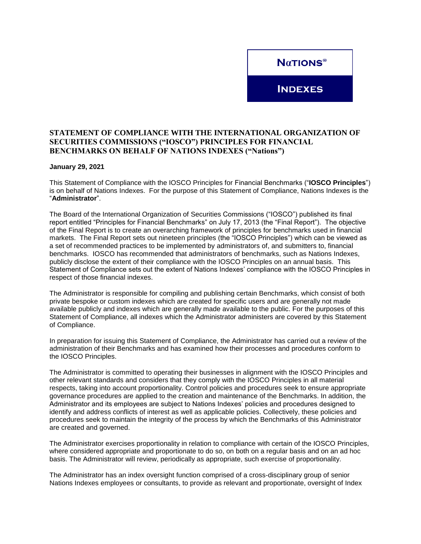

**INDEXES** 

## **STATEMENT OF COMPLIANCE WITH THE INTERNATIONAL ORGANIZATION OF SECURITIES COMMISSIONS ("IOSCO") PRINCIPLES FOR FINANCIAL BENCHMARKS ON BEHALF OF NATIONS INDEXES ("Nations")**

## **January 29, 2021**

This Statement of Compliance with the IOSCO Principles for Financial Benchmarks ("**IOSCO Principles**") is on behalf of Nations Indexes. For the purpose of this Statement of Compliance, Nations Indexes is the "**Administrator**".

The Board of the International Organization of Securities Commissions ("IOSCO") published its final report entitled "Principles for Financial Benchmarks" on July 17, 2013 (the "Final Report"). The objective of the Final Report is to create an overarching framework of principles for benchmarks used in financial markets. The Final Report sets out nineteen principles (the "IOSCO Principles") which can be viewed as a set of recommended practices to be implemented by administrators of, and submitters to, financial benchmarks. IOSCO has recommended that administrators of benchmarks, such as Nations Indexes, publicly disclose the extent of their compliance with the IOSCO Principles on an annual basis. This Statement of Compliance sets out the extent of Nations Indexes' compliance with the IOSCO Principles in respect of those financial indexes.

The Administrator is responsible for compiling and publishing certain Benchmarks, which consist of both private bespoke or custom indexes which are created for specific users and are generally not made available publicly and indexes which are generally made available to the public. For the purposes of this Statement of Compliance, all indexes which the Administrator administers are covered by this Statement of Compliance.

In preparation for issuing this Statement of Compliance, the Administrator has carried out a review of the administration of their Benchmarks and has examined how their processes and procedures conform to the IOSCO Principles.

The Administrator is committed to operating their businesses in alignment with the IOSCO Principles and other relevant standards and considers that they comply with the IOSCO Principles in all material respects, taking into account proportionality. Control policies and procedures seek to ensure appropriate governance procedures are applied to the creation and maintenance of the Benchmarks. In addition, the Administrator and its employees are subject to Nations Indexes' policies and procedures designed to identify and address conflicts of interest as well as applicable policies. Collectively, these policies and procedures seek to maintain the integrity of the process by which the Benchmarks of this Administrator are created and governed.

The Administrator exercises proportionality in relation to compliance with certain of the IOSCO Principles, where considered appropriate and proportionate to do so, on both on a regular basis and on an ad hoc basis. The Administrator will review, periodically as appropriate, such exercise of proportionality.

The Administrator has an index oversight function comprised of a cross-disciplinary group of senior Nations Indexes employees or consultants, to provide as relevant and proportionate, oversight of Index